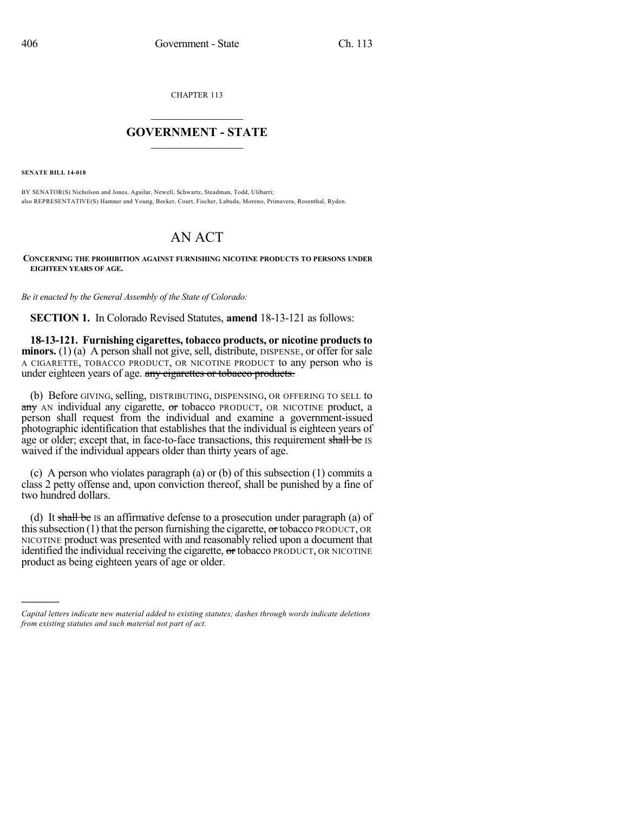CHAPTER 113

## $\mathcal{L}_\text{max}$  . The set of the set of the set of the set of the set of the set of the set of the set of the set of the set of the set of the set of the set of the set of the set of the set of the set of the set of the set **GOVERNMENT - STATE**  $\_$   $\_$

**SENATE BILL 14-018**

)))))

BY SENATOR(S) Nicholson and Jones, Aguilar, Newell, Schwartz, Steadman, Todd, Ulibarri; also REPRESENTATIVE(S) Hamner and Young, Becker, Court, Fischer, Labuda, Moreno, Primavera, Rosenthal, Ryden.

## AN ACT

**CONCERNING THE PROHIBITION AGAINST FURNISHING NICOTINE PRODUCTS TO PERSONS UNDER EIGHTEEN YEARS OF AGE.**

*Be it enacted by the General Assembly of the State of Colorado:*

**SECTION 1.** In Colorado Revised Statutes, **amend** 18-13-121 as follows:

**18-13-121. Furnishing cigarettes, tobacco products, or nicotine productsto minors.** (1) (a) A person shall not give, sell, distribute, DISPENSE, or offer for sale A CIGARETTE, TOBACCO PRODUCT, OR NICOTINE PRODUCT to any person who is under eighteen years of age. any cigarettes or tobacco products.

(b) Before GIVING, selling, DISTRIBUTING, DISPENSING, OR OFFERING TO SELL to any AN individual any cigarette, or tobacco PRODUCT, OR NICOTINE product, a person shall request from the individual and examine a government-issued photographic identification that establishes that the individual is eighteen years of age or older; except that, in face-to-face transactions, this requirement shall be IS waived if the individual appears older than thirty years of age.

(c) A person who violates paragraph (a) or (b) of this subsection (1) commits a class 2 petty offense and, upon conviction thereof, shall be punished by a fine of two hundred dollars.

(d) It shall be IS an affirmative defense to a prosecution under paragraph (a) of this subsection  $(1)$  that the person furnishing the cigarette, or tobacco PRODUCT, OR NICOTINE product was presented with and reasonably relied upon a document that identified the individual receiving the cigarette,  $\sigma$ r tobacco PRODUCT, OR NICOTINE product as being eighteen years of age or older.

*Capital letters indicate new material added to existing statutes; dashes through words indicate deletions from existing statutes and such material not part of act.*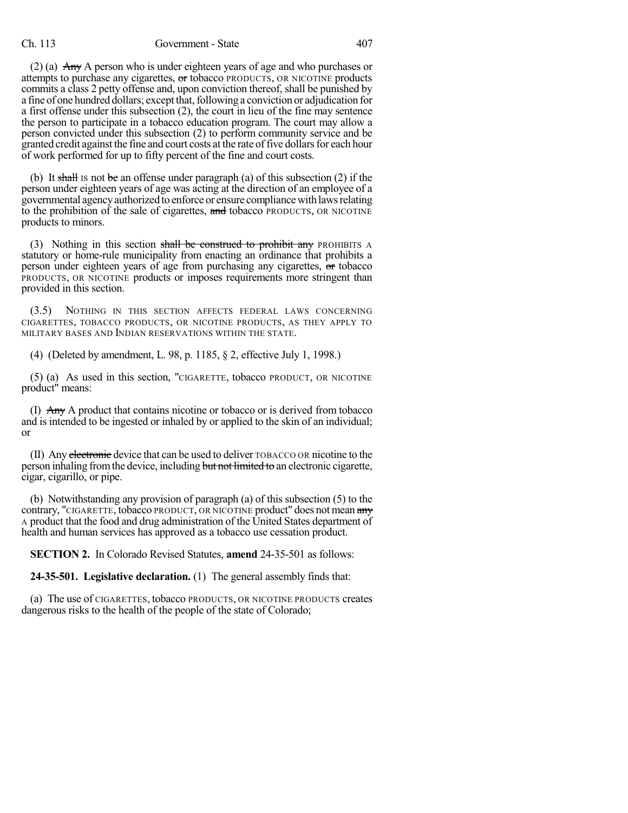## Ch. 113 Government - State 407

(2) (a) Any A person who is under eighteen years of age and who purchases or attempts to purchase any cigarettes, or tobacco PRODUCTS, OR NICOTINE products commits a class 2 petty offense and, upon conviction thereof, shall be punished by a fine of one hundred dollars; except that, following a conviction or adjudication for a first offense under this subsection (2), the court in lieu of the fine may sentence the person to participate in a tobacco education program. The court may allow a person convicted under this subsection (2) to perform community service and be granted credit against the fine and court costs at the rate of five dollars for each hour of work performed for up to fifty percent of the fine and court costs.

(b) It shall is not be an offense under paragraph (a) of this subsection (2) if the person under eighteen years of age was acting at the direction of an employee of a governmental agencyauthorized to enforce or ensure compliancewith lawsrelating to the prohibition of the sale of cigarettes, and tobacco PRODUCTS, OR NICOTINE products to minors.

(3) Nothing in this section shall be construed to prohibit any PROHIBITS A statutory or home-rule municipality from enacting an ordinance that prohibits a person under eighteen years of age from purchasing any cigarettes, or tobacco PRODUCTS, OR NICOTINE products or imposes requirements more stringent than provided in this section.

(3.5) NOTHING IN THIS SECTION AFFECTS FEDERAL LAWS CONCERNING CIGARETTES, TOBACCO PRODUCTS, OR NICOTINE PRODUCTS, AS THEY APPLY TO MILITARY BASES AND INDIAN RESERVATIONS WITHIN THE STATE.

(4) (Deleted by amendment, L. 98, p. 1185, § 2, effective July 1, 1998.)

(5) (a) As used in this section, "CIGARETTE, tobacco PRODUCT, OR NICOTINE product" means:

(I) Any A product that contains nicotine or tobacco or is derived from tobacco and is intended to be ingested or inhaled by or applied to the skin of an individual; or

(II) Any electronic device that can be used to deliver TOBACCO OR nicotine to the person inhaling fromthe device, including but not limited to an electronic cigarette, cigar, cigarillo, or pipe.

(b) Notwithstanding any provision of paragraph (a) of this subsection (5) to the contrary, "CIGARETTE, tobacco PRODUCT, OR NICOTINE product" does not mean any A product that the food and drug administration of the United States department of health and human services has approved as a tobacco use cessation product.

**SECTION 2.** In Colorado Revised Statutes, **amend** 24-35-501 as follows:

**24-35-501. Legislative declaration.** (1) The general assembly finds that:

(a) The use of CIGARETTES, tobacco PRODUCTS, OR NICOTINE PRODUCTS creates dangerous risks to the health of the people of the state of Colorado;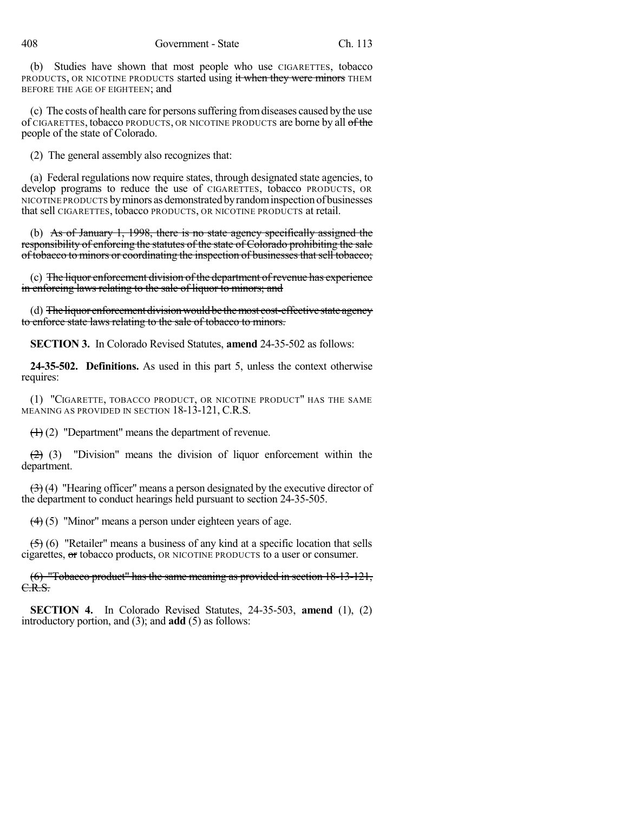(b) Studies have shown that most people who use CIGARETTES, tobacco PRODUCTS, OR NICOTINE PRODUCTS started using it when they were minors THEM BEFORE THE AGE OF EIGHTEEN; and

(c) The costs of health care for personssuffering fromdiseases caused by the use of CIGARETTES, tobacco PRODUCTS, OR NICOTINE PRODUCTS are borne by all of the people of the state of Colorado.

(2) The general assembly also recognizes that:

(a) Federal regulations now require states, through designated state agencies, to develop programs to reduce the use of CIGARETTES, tobacco PRODUCTS, OR NICOTINE PRODUCTS by minors as demonstrated by random inspection of businesses that sell CIGARETTES, tobacco PRODUCTS, OR NICOTINE PRODUCTS at retail.

(b) As of January 1, 1998, there is no state agency specifically assigned the responsibility of enforcing the statutes of the state of Colorado prohibiting the sale of tobacco to minors or coordinating the inspection of businesses that sell tobacco;

(c) The liquor enforcement division of the department of revenue has experience in enforcing laws relating to the sale of liquor to minors; and

(d) The liquor enforcement division would be the most cost-effective state agency to enforce state laws relating to the sale of tobacco to minors.

**SECTION 3.** In Colorado Revised Statutes, **amend** 24-35-502 as follows:

**24-35-502. Definitions.** As used in this part 5, unless the context otherwise requires:

(1) "CIGARETTE, TOBACCO PRODUCT, OR NICOTINE PRODUCT" HAS THE SAME MEANING AS PROVIDED IN SECTION 18-13-121, C.R.S.

 $(1)$  (2) "Department" means the department of revenue.

 $(2)$  (3) "Division" means the division of liquor enforcement within the department.

 $(3)$  (4) "Hearing officer" means a person designated by the executive director of the department to conduct hearings held pursuant to section 24-35-505.

(4) (5) "Minor" means a person under eighteen years of age.

 $(5)$  (6) "Retailer" means a business of any kind at a specific location that sells cigarettes, or tobacco products, OR NICOTINE PRODUCTS to a user or consumer.

(6) "Tobacco product" has the same meaning as provided in section 18-13-121, C.R.S.

**SECTION 4.** In Colorado Revised Statutes, 24-35-503, **amend** (1), (2) introductory portion, and (3); and **add** (5) as follows: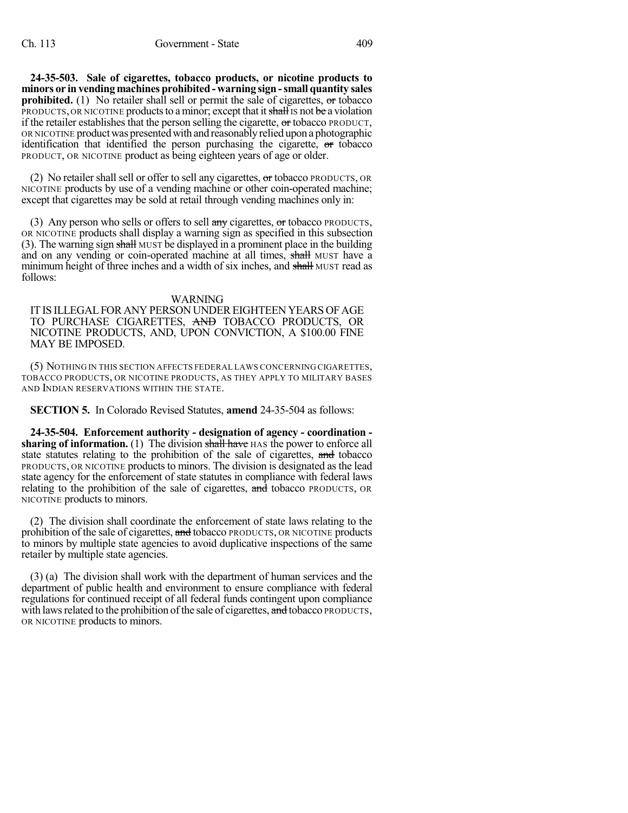**24-35-503. Sale of cigarettes, tobacco products, or nicotine products to minors or in vending machines prohibited -warning sign -small quantity sales prohibited.** (1) No retailer shall sell or permit the sale of cigarettes, or tobacco PRODUCTS, OR NICOTINE products to a minor; except that it shall is not be a violation if the retailer establishes that the person selling the cigarette,  $\sigma$ r tobacco PRODUCT, OR NICOTINE productwas presentedwith and reasonablyrelied upon a photographic identification that identified the person purchasing the cigarette, or tobacco PRODUCT, OR NICOTINE product as being eighteen years of age or older.

(2) No retailer shall sell or offer to sell any cigarettes,  $\sigma$ r tobacco PRODUCTS, OR NICOTINE products by use of a vending machine or other coin-operated machine; except that cigarettes may be sold at retail through vending machines only in:

(3) Any person who sells or offers to sell any cigarettes, or tobacco PRODUCTS, OR NICOTINE products shall display a warning sign as specified in this subsection (3). The warning sign shall MUST be displayed in a prominent place in the building and on any vending or coin-operated machine at all times, shall MUST have a minimum height of three inches and a width of six inches, and shall MUST read as follows:

## WARNING

ITIS ILLEGALFOR ANY PERSON UNDEREIGHTEEN YEARS OFAGE TO PURCHASE CIGARETTES, AND TOBACCO PRODUCTS, OR NICOTINE PRODUCTS, AND, UPON CONVICTION, A \$100.00 FINE MAY BE IMPOSED.

(5) NOTHING IN THIS SECTION AFFECTS FEDERAL LAWS CONCERNING CIGARETTES, TOBACCO PRODUCTS, OR NICOTINE PRODUCTS, AS THEY APPLY TO MILITARY BASES AND INDIAN RESERVATIONS WITHIN THE STATE.

**SECTION 5.** In Colorado Revised Statutes, **amend** 24-35-504 as follows:

**24-35-504. Enforcement authority - designation of agency - coordination sharing of information.** (1) The division shall have HAS the power to enforce all state statutes relating to the prohibition of the sale of cigarettes, and tobacco PRODUCTS, OR NICOTINE productsto minors. The division is designated as the lead state agency for the enforcement of state statutes in compliance with federal laws relating to the prohibition of the sale of cigarettes, and tobacco PRODUCTS, OR NICOTINE products to minors.

(2) The division shall coordinate the enforcement of state laws relating to the prohibition of the sale of cigarettes, and tobacco PRODUCTS, OR NICOTINE products to minors by multiple state agencies to avoid duplicative inspections of the same retailer by multiple state agencies.

(3) (a) The division shall work with the department of human services and the department of public health and environment to ensure compliance with federal regulations for continued receipt of all federal funds contingent upon compliance with laws related to the prohibition of the sale of cigarettes, and tobacco PRODUCTS, OR NICOTINE products to minors.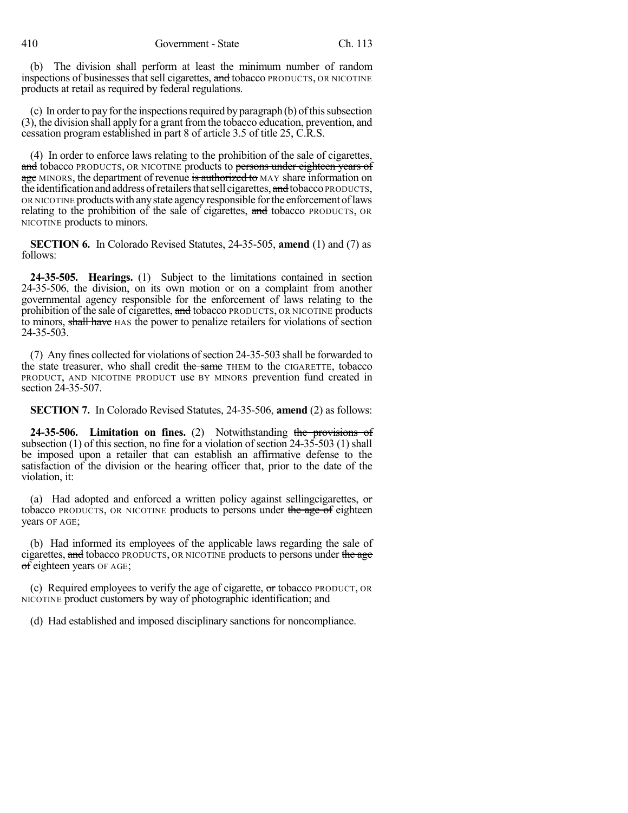(b) The division shall perform at least the minimum number of random inspections of businesses that sell cigarettes, and tobacco PRODUCTS, OR NICOTINE products at retail as required by federal regulations.

 $(c)$  In order to pay for the inspections required by paragraph  $(b)$  of this subsection (3), the division shall apply for a grant fromthe tobacco education, prevention, and cessation program established in part 8 of article 3.5 of title 25, C.R.S.

(4) In order to enforce laws relating to the prohibition of the sale of cigarettes, and tobacco PRODUCTS, OR NICOTINE products to persons under eighteen years of age MINORS, the department of revenue is authorized to MAY share information on the identification and address of retailers that sell cigarettes, and tobacco PRODUCTS, OR NICOTINE productswith anystate agencyresponsible forthe enforcement oflaws relating to the prohibition of the sale of cigarettes, and tobacco PRODUCTS, OR NICOTINE products to minors.

**SECTION 6.** In Colorado Revised Statutes, 24-35-505, **amend** (1) and (7) as follows:

**24-35-505. Hearings.** (1) Subject to the limitations contained in section 24-35-506, the division, on its own motion or on a complaint from another governmental agency responsible for the enforcement of laws relating to the prohibition of the sale of cigarettes, and tobacco PRODUCTS, OR NICOTINE products to minors, shall have HAS the power to penalize retailers for violations of section 24-35-503.

(7) Any fines collected for violations of section 24-35-503 shall be forwarded to the state treasurer, who shall credit the same THEM to the CIGARETTE, tobacco PRODUCT, AND NICOTINE PRODUCT use BY MINORS prevention fund created in section 24-35-507.

**SECTION 7.** In Colorado Revised Statutes, 24-35-506, **amend** (2) as follows:

**24-35-506. Limitation on fines.** (2) Notwithstanding the provisions of subsection (1) of this section, no fine for a violation of section 24-35-503 (1) shall be imposed upon a retailer that can establish an affirmative defense to the satisfaction of the division or the hearing officer that, prior to the date of the violation, it:

(a) Had adopted and enforced a written policy against sellingcigarettes,  $\sigma$ tobacco PRODUCTS, OR NICOTINE products to persons under the age of eighteen years OF AGE;

(b) Had informed its employees of the applicable laws regarding the sale of cigarettes, and tobacco PRODUCTS, OR NICOTINE products to persons under the age of eighteen years OF AGE;

(c) Required employees to verify the age of cigarette,  $\sigma$ r tobacco PRODUCT, OR NICOTINE product customers by way of photographic identification; and

(d) Had established and imposed disciplinary sanctions for noncompliance.